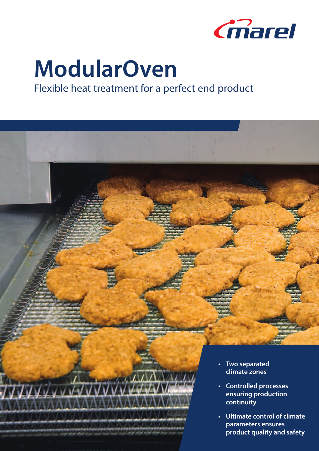

# **ModularOven**

### Flexible heat treatment for a perfect end product

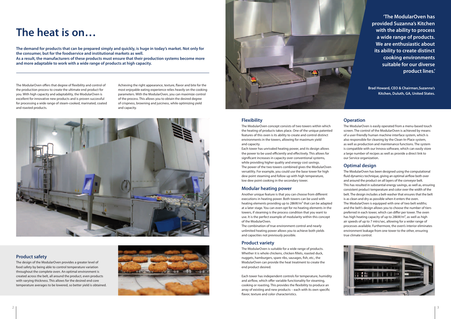## **The heat is on…**

The demand for products that can be prepared simply and quickly, is huge in today's market. Not only for **the consumer, but for the foodservice and institutional markets as well.**

**As a result, the manufacturers of these products must ensure that their production systems become more and more adaptable to work with a wide range of products at high capacity.**

The ModularOven offers that degree of flexibility and control of the production process to create the ultimate end product for you. With high capacity and adaptability, the ModularOven is excellent for innovative new products and is proven successful for processing a wide range of steam-cooked, marinated, coated and roasted products.

Achieving the right appearance, texture, flavor and bite for the most enjoyable eating experience relies heavily on the cooking parameters. With the ModularOven, you can maximize control of the process. This allows you to obtain the desired degree of crispness, browning and juiciness, while optimizing yield and capacity.



#### **Flexibility**

The ModularOven concept consists of two towers within which the heating of products takes place. One of the unique patented features of this oven is its ability to create and control distinct environments in the towers, allowing for maximum yield and capacity.

Each tower has unrivaled heating power, and its design allows the power to be used efficiently and effectively. This allows for significant increases in capacity over conventional systems, while providing higher quality and energy cost savings. The power of the two towers combined gives the ModularOven versatility. For example, you could use the base tower for high dew point steaming and follow up with high temperature, low dew point cooking in the secondary tower.

#### **Modular heating power**

Another unique feature is that you can choose from different executions in heating power. Both towers can be used with heating elements providing up to 28kW/m² that can be adapted at a later stage. You can even opt for no heating elements in the towers, if steaming is the process condition that you want to use. It is the perfect example of modularity within this concept of the ModularOven.

The combination of true environment control and nearly unlimited heating power allows you to achieve both yields and capacities not previously possible.

#### **Product variety**

The ModularOven is suitable for a wide range of products. Whether it is whole chickens, chicken fillets, roasted duck, nuggets, hamburgers, spare ribs, sausages, fish, etc., the ModularOven can provide the heat treatment to create the end product desired.

Each tower has independent controls for temperature, humidity and airflow, which offer variable functionality for steaming, cooking or roasting. This provides the flexibility to produce an array of existing and new products – each with its own specific flavor, texture and color characteristics.

#### **Operation**

The ModularOven is easily operated from a menu-based touch screen. The control of the ModularOven is achieved by means of a user-friendly human machine interface system, which is also responsible for cleaning by the Clean-In-Place system, as well as production and maintenance functions. The system is compatible with our Innova software, which can easily store a large number of recipes as well as provide a direct link to our Service organization.

#### **Optimal design**

The ModularOven has been designed using the computational fluid dynamics technique, giving an optimal airflow both over and around the product on all layers of the conveyor belt. This hasresulted in substantial energy savings, as well as, ensuring consistent product temperature and color over the width of the belt. The design includes a belt-washer that ensures that the belt is as clean and dry as possible when it enters the oven. The ModularOven is equipped with one of two belt widths; and the belt's design allows you to choose the number of tiers preferred in each tower, which can differ per tower. The oven has high heating capacity of up to 28kW/m², as well as high air speeds of up to 7 mtrs/sec, allowing for a wider range of processes available. Furthermore, the oven's interior eliminates environment leakage from one tower to the other, ensuring true climate control.



#### **Product safety**

The design of the ModularOven provides a greater level of food safety by being able to control temperature variation throughout the complete oven. An optimal environment is created across the belt, all around the product, even products with varying thickness. This allows for the desired end core temperature averages to be lowered, so better yield is obtained.





**'The ModularOven has provided Suzanna's Kitchen with the ability to process a wide range of products. We are enthusiastic about its ability to create distinct cooking environments suitable for our diverse product lines.'**

**Brad Howard, CEO & Chairman,Suzanna's Kitchen, Duluth, GA, United States.**